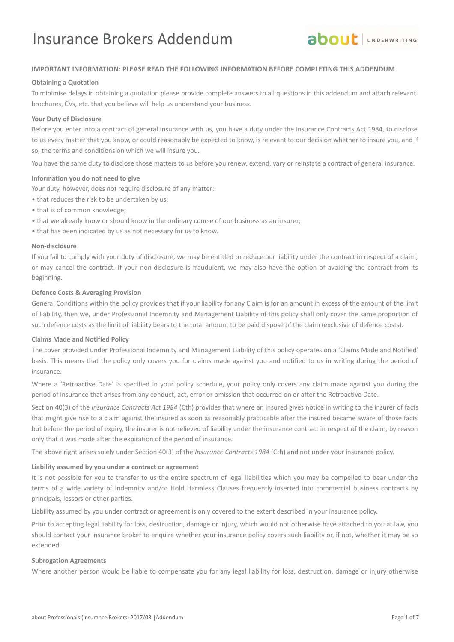

## **IMPORTANT INFORMATION: PLEASE READ THE FOLLOWING INFORMATION BEFORE COMPLETING THIS ADDENDUM**

#### **Obtaining a Quotation**

To minimise delays in obtaining a quotation please provide complete answers to all questions in this addendum and attach relevant brochures, CVs, etc. that you believe will help us understand your business.

#### **Your Duty of Disclosure**

Before you enter into a contract of general insurance with us, you have a duty under the Insurance Contracts Act 1984, to disclose to us every matter that you know, or could reasonably be expected to know, is relevant to our decision whether to insure you, and if so, the terms and conditions on which we will insure you.

You have the same duty to disclose those matters to us before you renew, extend, vary or reinstate a contract of general insurance.

#### **Information you do not need to give**

Your duty, however, does not require disclosure of any matter:

- that reduces the risk to be undertaken by us;
- that is of common knowledge;
- that we already know or should know in the ordinary course of our business as an insurer;
- that has been indicated by us as not necessary for us to know.

### **Non-disclosure**

If you fail to comply with your duty of disclosure, we may be entitled to reduce our liability under the contract in respect of a claim, or may cancel the contract. If your non-disclosure is fraudulent, we may also have the option of avoiding the contract from its beginning.

#### **Defence Costs & Averaging Provision**

General Conditions within the policy provides that if your liability for any Claim is for an amount in excess of the amount of the limit of liability, then we, under Professional Indemnity and Management Liability of this policy shall only cover the same proportion of such defence costs as the limit of liability bears to the total amount to be paid dispose of the claim (exclusive of defence costs).

#### **Claims Made and Notified Policy**

The cover provided under Professional Indemnity and Management Liability of this policy operates on a 'Claims Made and Notified' basis. This means that the policy only covers you for claims made against you and notified to us in writing during the period of insurance.

Where a 'Retroactive Date' is specified in your policy schedule, your policy only covers any claim made against you during the period of insurance that arises from any conduct, act, error or omission that occurred on or after the Retroactive Date.

Section 40(3) of the *Insurance Contracts Act 1984* (Cth) provides that where an insured gives notice in writing to the insurer of facts that might give rise to a claim against the insured as soon as reasonably practicable after the insured became aware of those facts but before the period of expiry, the insurer is not relieved of liability under the insurance contract in respect of the claim, by reason only that it was made after the expiration of the period of insurance.

The above right arises solely under Section 40(3) of the *Insurance Contracts 1984* (Cth) and not under your insurance policy.

#### **Liability assumed by you under a contract or agreement**

It is not possible for you to transfer to us the entire spectrum of legal liabilities which you may be compelled to bear under the terms of a wide variety of Indemnity and/or Hold Harmless Clauses frequently inserted into commercial business contracts by principals, lessors or other parties.

Liability assumed by you under contract or agreement is only covered to the extent described in your insurance policy.

Prior to accepting legal liability for loss, destruction, damage or injury, which would not otherwise have attached to you at law, you should contact your insurance broker to enquire whether your insurance policy covers such liability or, if not, whether it may be so extended.

#### **Subrogation Agreements**

Where another person would be liable to compensate you for any legal liability for loss, destruction, damage or injury otherwise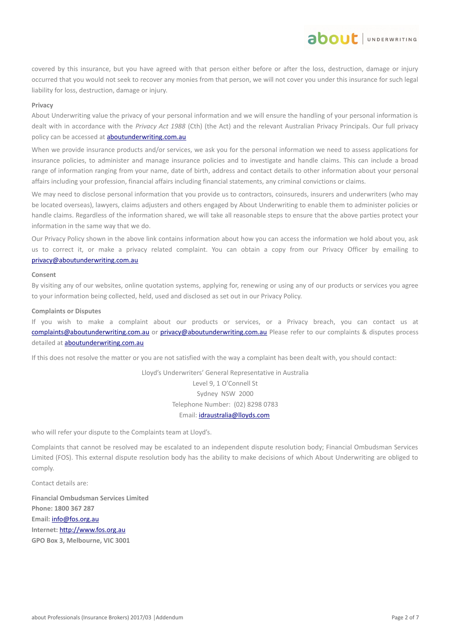covered by this insurance, but you have agreed with that person either before or after the loss, destruction, damage or injury occurred that you would not seek to recover any monies from that person, we will not cover you under this insurance for such legal liability for loss, destruction, damage or injury.

about JUNDERWRITING

#### **Privacy**

About Underwriting value the privacy of your personal information and we will ensure the handling of your personal information is dealt with in accordance with the *Privacy Act 1988* (Cth) (the Act) and the relevant Australian Privacy Principals. Our full privacy policy can be accessed at **aboutunderwriting.com.au** 

When we provide insurance products and/or services, we ask you for the personal information we need to assess applications for insurance policies, to administer and manage insurance policies and to investigate and handle claims. This can include a broad range of information ranging from your name, date of birth, address and contact details to other information about your personal affairs including your profession, financial affairs including financial statements, any criminal convictions or claims.

We may need to disclose personal information that you provide us to contractors, coinsureds, insurers and underwriters (who may be located overseas), lawyers, claims adjusters and others engaged by About Underwriting to enable them to administer policies or handle claims. Regardless of the information shared, we will take all reasonable steps to ensure that the above parties protect your information in the same way that we do.

Our Privacy Policy shown in the above link contains information about how you can access the information we hold about you, ask us to correct it, or make a privacy related complaint. You can obtain a copy from our Privacy Officer by emailing to [privacy@aboutunderwriting.com.au](mailto:privacy@aboutunderwriting.com.au)

#### **Consent**

By visiting any of our websites, online quotation systems, applying for, renewing or using any of our products or services you agree to your information being collected, held, used and disclosed as set out in our Privacy Policy.

#### **Complaints or Disputes**

If you wish to make a complaint about our products or services, or a Privacy breach, you can contact us at [complaints@aboutunderwriting.com.au](mailto:complaints@aboutunderwriting.com.au) or [privacy@aboutunderwriting.com.au](mailto:privacy@aboutunderwriting.com.au) Please refer to our complaints & disputes process detailed at [aboutunderwriting.com.au](http://www.aboutunderwriting.com.au/)

If this does not resolve the matter or you are not satisfied with the way a complaint has been dealt with, you should contact:

Lloyd's Underwriters' General Representative in Australia Level 9, 1 O'Connell St Sydney NSW 2000 Telephone Number: (02) 8298 0783 Email: [idraustralia@lloyds.com](mailto:idraustralia@lloyds.com)

who will refer your dispute to the Complaints team at Lloyd's.

Complaints that cannot be resolved may be escalated to an independent dispute resolution body; Financial Ombudsman Services Limited (FOS). This external dispute resolution body has the ability to make decisions of which About Underwriting are obliged to comply.

Contact details are:

**Financial Ombudsman Services Limited Phone: 1800 367 287 Email:** [info@fos.org.au](mailto:info@fos.org.au) **Internet:** [http://www.fos.org.au](http://www.fos.org.au/) **GPO Box 3, Melbourne, VIC 3001**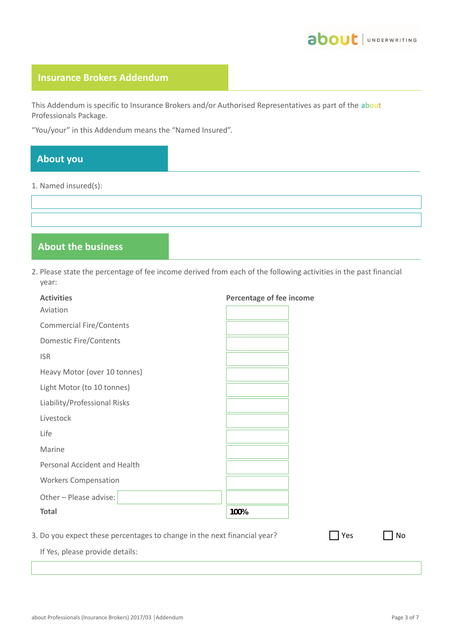

## **Insurance Brokers Addendum**

This Addendum is specific to Insurance Brokers and/or Authorised Representatives as part of the about Professionals Package.

"You/your" in this Addendum means the "Named Insured".

# **About you**

1. Named insured(s):

# **About the business**

2. Please state the percentage of fee income derived from each of the following activities in the past financial year:

| <b>Activities</b>                                                        | Percentage of fee income |     |    |
|--------------------------------------------------------------------------|--------------------------|-----|----|
| Aviation                                                                 |                          |     |    |
| <b>Commercial Fire/Contents</b>                                          |                          |     |    |
| <b>Domestic Fire/Contents</b>                                            |                          |     |    |
| <b>ISR</b>                                                               |                          |     |    |
| Heavy Motor (over 10 tonnes)                                             |                          |     |    |
| Light Motor (to 10 tonnes)                                               |                          |     |    |
| Liability/Professional Risks                                             |                          |     |    |
| Livestock                                                                |                          |     |    |
| Life                                                                     |                          |     |    |
| Marine                                                                   |                          |     |    |
| Personal Accident and Health                                             |                          |     |    |
| <b>Workers Compensation</b>                                              |                          |     |    |
| Other - Please advise:                                                   |                          |     |    |
| <b>Total</b>                                                             | 100%                     |     |    |
| 3. Do you expect these percentages to change in the next financial year? |                          | Yes | No |

If Yes, please provide details: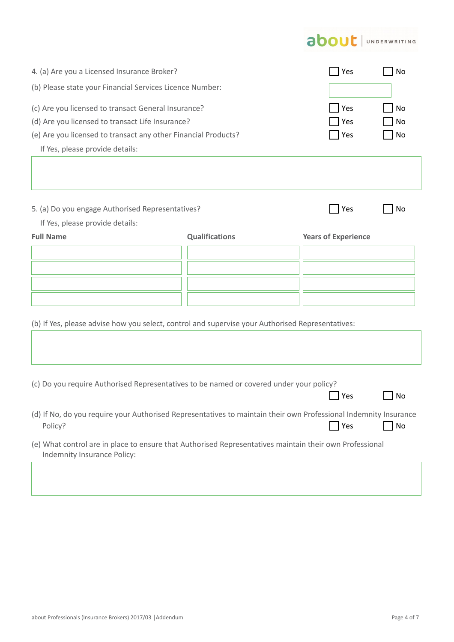# about | UNDERWRITING

| 4. (a) Are you a Licensed Insurance Broker?                                                                                                                                                                  | Yes                   | No                           |    |
|--------------------------------------------------------------------------------------------------------------------------------------------------------------------------------------------------------------|-----------------------|------------------------------|----|
| (b) Please state your Financial Services Licence Number:                                                                                                                                                     |                       |                              |    |
| (c) Are you licensed to transact General Insurance?<br>(d) Are you licensed to transact Life Insurance?<br>(e) Are you licensed to transact any other Financial Products?<br>If Yes, please provide details: | Yes<br>Yes<br>Yes     | No<br>No<br>No               |    |
| 5. (a) Do you engage Authorised Representatives?                                                                                                                                                             |                       | <b>Yes</b>                   | No |
| If Yes, please provide details:                                                                                                                                                                              |                       |                              |    |
| <b>Full Name</b><br>(b) If Yes, please advise how you select, control and supervise your Authorised Representatives:                                                                                         | <b>Qualifications</b> | <b>Years of Experience</b>   |    |
| (c) Do you require Authorised Representatives to be named or covered under your policy?                                                                                                                      |                       | Yes                          | No |
| (d) If No, do you require your Authorised Representatives to maintain their own Professional Indemnity Insurance<br>Policy?                                                                                  |                       | $\overline{\phantom{a}}$ Yes | No |
| (e) What control are in place to ensure that Authorised Representatives maintain their own Professional<br>Indemnity Insurance Policy:                                                                       |                       |                              |    |
|                                                                                                                                                                                                              |                       |                              |    |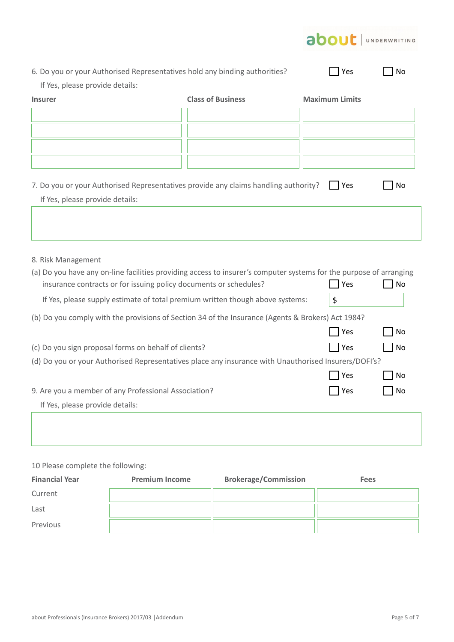| 6. Do you or your Authorised Representatives hold any binding authorities?<br>Yes<br>No<br>If Yes, please provide details:<br><b>Class of Business</b><br><b>Maximum Limits</b><br><b>Insurer</b><br>7. Do you or your Authorised Representatives provide any claims handling authority?<br>Yes<br>No<br>If Yes, please provide details:<br>8. Risk Management<br>(a) Do you have any on-line facilities providing access to insurer's computer systems for the purpose of arranging<br>insurance contracts or for issuing policy documents or schedules?<br>Yes<br>No<br>\$<br>If Yes, please supply estimate of total premium written though above systems:<br>(b) Do you comply with the provisions of Section 34 of the Insurance (Agents & Brokers) Act 1984?<br>Yes<br>No<br>(c) Do you sign proposal forms on behalf of clients?<br><b>Yes</b><br>No<br>(d) Do you or your Authorised Representatives place any insurance with Unauthorised Insurers/DOFI's?<br>Yes<br>No<br>9. Are you a member of any Professional Association?<br>Yes<br>No<br>If Yes, please provide details: |  | <b>about</b> UNDERWRITING |  |
|------------------------------------------------------------------------------------------------------------------------------------------------------------------------------------------------------------------------------------------------------------------------------------------------------------------------------------------------------------------------------------------------------------------------------------------------------------------------------------------------------------------------------------------------------------------------------------------------------------------------------------------------------------------------------------------------------------------------------------------------------------------------------------------------------------------------------------------------------------------------------------------------------------------------------------------------------------------------------------------------------------------------------------------------------------------------------------------|--|---------------------------|--|
|                                                                                                                                                                                                                                                                                                                                                                                                                                                                                                                                                                                                                                                                                                                                                                                                                                                                                                                                                                                                                                                                                          |  |                           |  |
|                                                                                                                                                                                                                                                                                                                                                                                                                                                                                                                                                                                                                                                                                                                                                                                                                                                                                                                                                                                                                                                                                          |  |                           |  |
|                                                                                                                                                                                                                                                                                                                                                                                                                                                                                                                                                                                                                                                                                                                                                                                                                                                                                                                                                                                                                                                                                          |  |                           |  |
|                                                                                                                                                                                                                                                                                                                                                                                                                                                                                                                                                                                                                                                                                                                                                                                                                                                                                                                                                                                                                                                                                          |  |                           |  |
|                                                                                                                                                                                                                                                                                                                                                                                                                                                                                                                                                                                                                                                                                                                                                                                                                                                                                                                                                                                                                                                                                          |  |                           |  |
|                                                                                                                                                                                                                                                                                                                                                                                                                                                                                                                                                                                                                                                                                                                                                                                                                                                                                                                                                                                                                                                                                          |  |                           |  |
|                                                                                                                                                                                                                                                                                                                                                                                                                                                                                                                                                                                                                                                                                                                                                                                                                                                                                                                                                                                                                                                                                          |  |                           |  |
|                                                                                                                                                                                                                                                                                                                                                                                                                                                                                                                                                                                                                                                                                                                                                                                                                                                                                                                                                                                                                                                                                          |  |                           |  |
|                                                                                                                                                                                                                                                                                                                                                                                                                                                                                                                                                                                                                                                                                                                                                                                                                                                                                                                                                                                                                                                                                          |  |                           |  |
|                                                                                                                                                                                                                                                                                                                                                                                                                                                                                                                                                                                                                                                                                                                                                                                                                                                                                                                                                                                                                                                                                          |  |                           |  |
|                                                                                                                                                                                                                                                                                                                                                                                                                                                                                                                                                                                                                                                                                                                                                                                                                                                                                                                                                                                                                                                                                          |  |                           |  |
|                                                                                                                                                                                                                                                                                                                                                                                                                                                                                                                                                                                                                                                                                                                                                                                                                                                                                                                                                                                                                                                                                          |  |                           |  |
|                                                                                                                                                                                                                                                                                                                                                                                                                                                                                                                                                                                                                                                                                                                                                                                                                                                                                                                                                                                                                                                                                          |  |                           |  |
|                                                                                                                                                                                                                                                                                                                                                                                                                                                                                                                                                                                                                                                                                                                                                                                                                                                                                                                                                                                                                                                                                          |  |                           |  |
|                                                                                                                                                                                                                                                                                                                                                                                                                                                                                                                                                                                                                                                                                                                                                                                                                                                                                                                                                                                                                                                                                          |  |                           |  |
|                                                                                                                                                                                                                                                                                                                                                                                                                                                                                                                                                                                                                                                                                                                                                                                                                                                                                                                                                                                                                                                                                          |  |                           |  |
|                                                                                                                                                                                                                                                                                                                                                                                                                                                                                                                                                                                                                                                                                                                                                                                                                                                                                                                                                                                                                                                                                          |  |                           |  |
|                                                                                                                                                                                                                                                                                                                                                                                                                                                                                                                                                                                                                                                                                                                                                                                                                                                                                                                                                                                                                                                                                          |  |                           |  |
|                                                                                                                                                                                                                                                                                                                                                                                                                                                                                                                                                                                                                                                                                                                                                                                                                                                                                                                                                                                                                                                                                          |  |                           |  |
|                                                                                                                                                                                                                                                                                                                                                                                                                                                                                                                                                                                                                                                                                                                                                                                                                                                                                                                                                                                                                                                                                          |  |                           |  |
|                                                                                                                                                                                                                                                                                                                                                                                                                                                                                                                                                                                                                                                                                                                                                                                                                                                                                                                                                                                                                                                                                          |  |                           |  |
|                                                                                                                                                                                                                                                                                                                                                                                                                                                                                                                                                                                                                                                                                                                                                                                                                                                                                                                                                                                                                                                                                          |  |                           |  |
|                                                                                                                                                                                                                                                                                                                                                                                                                                                                                                                                                                                                                                                                                                                                                                                                                                                                                                                                                                                                                                                                                          |  |                           |  |
|                                                                                                                                                                                                                                                                                                                                                                                                                                                                                                                                                                                                                                                                                                                                                                                                                                                                                                                                                                                                                                                                                          |  |                           |  |
|                                                                                                                                                                                                                                                                                                                                                                                                                                                                                                                                                                                                                                                                                                                                                                                                                                                                                                                                                                                                                                                                                          |  |                           |  |
|                                                                                                                                                                                                                                                                                                                                                                                                                                                                                                                                                                                                                                                                                                                                                                                                                                                                                                                                                                                                                                                                                          |  |                           |  |
|                                                                                                                                                                                                                                                                                                                                                                                                                                                                                                                                                                                                                                                                                                                                                                                                                                                                                                                                                                                                                                                                                          |  |                           |  |
|                                                                                                                                                                                                                                                                                                                                                                                                                                                                                                                                                                                                                                                                                                                                                                                                                                                                                                                                                                                                                                                                                          |  |                           |  |

## 10 Please complete the following:

| <b>Financial Year</b> | <b>Premium Income</b> | <b>Brokerage/Commission</b> | <b>Fees</b> |
|-----------------------|-----------------------|-----------------------------|-------------|
| Current               |                       |                             |             |
| Last                  |                       |                             |             |
| Previous              |                       |                             |             |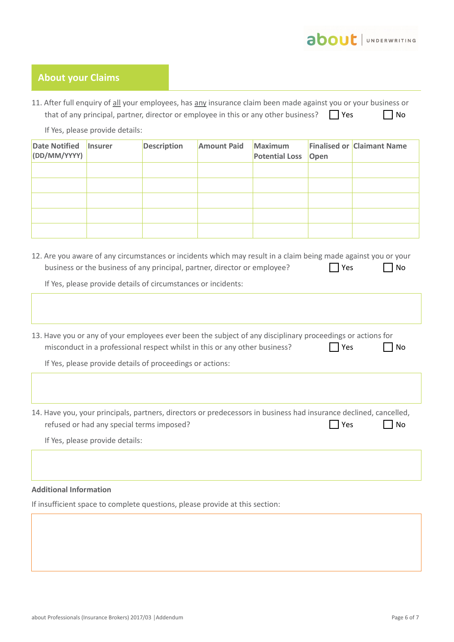

## **About your Claims**

11. After full enquiry of all your employees, has any insurance claim been made against you or your business or that of any principal, partner, director or employee in this or any other business?  $\Box$  Yes  $\Box$  No

If Yes, please provide details:

| Date Notified Insurer<br>(DD/MM/YYYY) | <b>Description</b> | <b>Amount Paid</b> | <b>Maximum</b><br><b>Potential Loss Open</b> | <b>Finalised or Claimant Name</b> |
|---------------------------------------|--------------------|--------------------|----------------------------------------------|-----------------------------------|
|                                       |                    |                    |                                              |                                   |
|                                       |                    |                    |                                              |                                   |
|                                       |                    |                    |                                              |                                   |
|                                       |                    |                    |                                              |                                   |
|                                       |                    |                    |                                              |                                   |

12. Are you aware of any circumstances or incidents which may result in a claim being made against you or your business or the business of any principal, partner, director or employee?  $\Box$  Yes  $\Box$  No

If Yes, please provide details of circumstances or incidents:

| 13. Have you or any of your employees ever been the subject of any disciplinary proceedings or actions for<br>misconduct in a professional respect whilst in this or any other business? | <b>No</b><br>Yes |
|------------------------------------------------------------------------------------------------------------------------------------------------------------------------------------------|------------------|
| If Yes, please provide details of proceedings or actions:                                                                                                                                |                  |
|                                                                                                                                                                                          |                  |
|                                                                                                                                                                                          |                  |
| 14. Have you, your principals, partners, directors or predecessors in business had insurance declined, cancelled,                                                                        |                  |
| refused or had any special terms imposed?                                                                                                                                                | <b>No</b><br>Yes |
| If Yes, please provide details:                                                                                                                                                          |                  |

## **Additional Information**

If insufficient space to complete questions, please provide at this section: